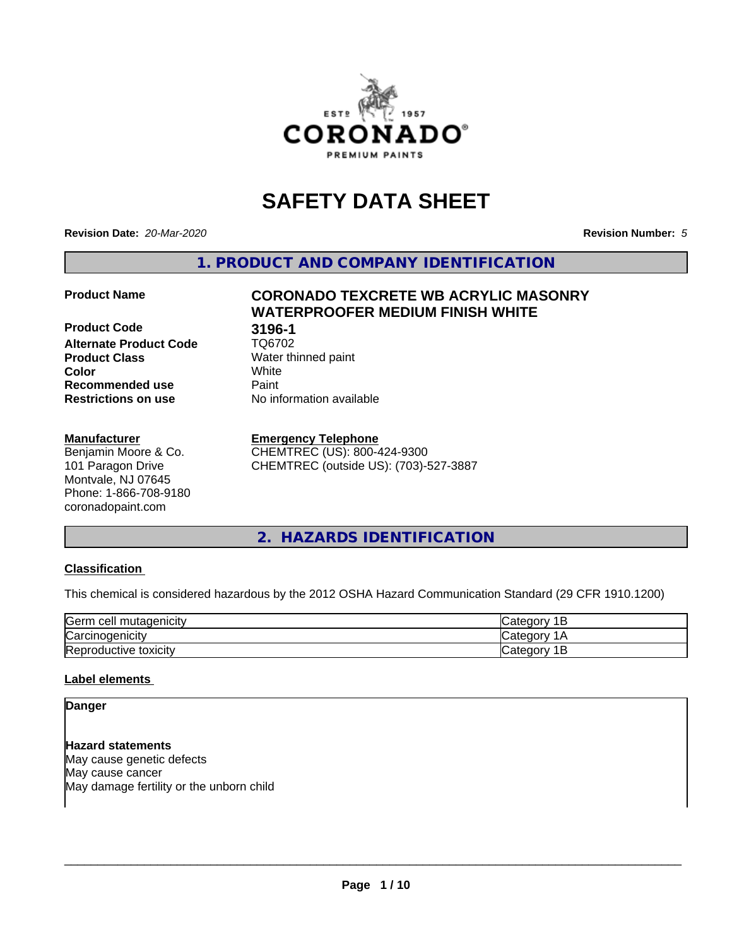

# **SAFETY DATA SHEET**

**Revision Date:** *20-Mar-2020* **Revision Number:** *5*

**1. PRODUCT AND COMPANY IDENTIFICATION**

**Product Code 618 196-1**<br>**Alternate Product Code 618 106702 Alternate Product Code Product Class** Water thinned paint<br> **Color** White **Color** White **Recommended use Caint Restrictions on use** No information available

## **Manufacturer**

Benjamin Moore & Co. 101 Paragon Drive Montvale, NJ 07645 Phone: 1-866-708-9180 coronadopaint.com

# **Product Name CORONADO TEXCRETE WB ACRYLIC MASONRY WATERPROOFER MEDIUM FINISH WHITE**

## **Emergency Telephone**

CHEMTREC (US): 800-424-9300 CHEMTREC (outside US): (703)-527-3887

## **2. HAZARDS IDENTIFICATION**

## **Classification**

This chemical is considered hazardous by the 2012 OSHA Hazard Communication Standard (29 CFR 1910.1200)

| Germ<br>ı cell mutadenıcıtv | $\sim$ $\sim$ $\sim$<br>ำ่∽+<br>ונזו<br>ــ |
|-----------------------------|--------------------------------------------|
| ∽<br>Carcinogenicity        | $\sim$ $\sim$ $\sim$<br>и                  |
| toxicity<br>Reproductive⊤   | ר∩ה∟<br>~<br>10<br>-                       |

## **Label elements**

**Danger**

**Hazard statements** May cause genetic defects May cause cancer May damage fertility or the unborn child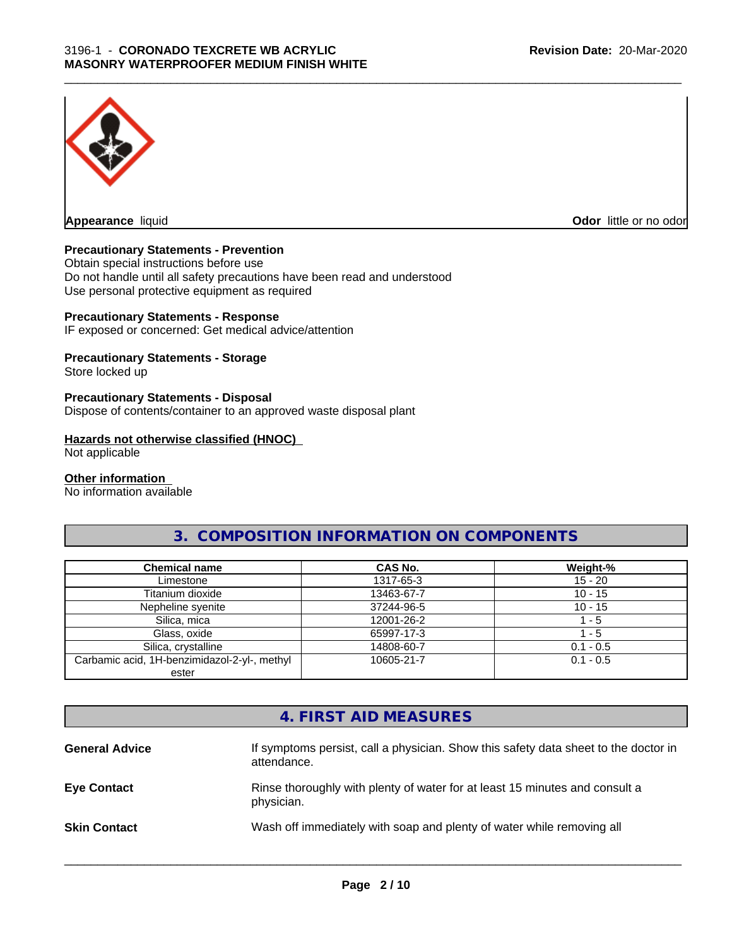

**Appearance** liquid **Odor in the original of the original of the original of the original of the original of the original of the original of the original of the original of the original of the original of the original of t** 

## **Precautionary Statements - Prevention**

Obtain special instructions before use Do not handle until all safety precautions have been read and understood Use personal protective equipment as required

## **Precautionary Statements - Response**

IF exposed or concerned: Get medical advice/attention

## **Precautionary Statements - Storage**

Store locked up

#### **Precautionary Statements - Disposal**

Dispose of contents/container to an approved waste disposal plant

#### **Hazards not otherwise classified (HNOC)**

Not applicable

#### **Other information**

No information available

## **3. COMPOSITION INFORMATION ON COMPONENTS**

| <b>Chemical name</b>                         | CAS No.    | Weight-%    |
|----------------------------------------------|------------|-------------|
| Limestone                                    | 1317-65-3  | $15 - 20$   |
| Titanium dioxide                             | 13463-67-7 | $10 - 15$   |
| Nepheline syenite                            | 37244-96-5 | $10 - 15$   |
| Silica, mica                                 | 12001-26-2 | l - 5       |
| Glass, oxide                                 | 65997-17-3 | l - 5       |
| Silica, crystalline                          | 14808-60-7 | $0.1 - 0.5$ |
| Carbamic acid, 1H-benzimidazol-2-yl-, methyl | 10605-21-7 | $0.1 - 0.5$ |
| ester                                        |            |             |

## **4. FIRST AID MEASURES**

| <b>General Advice</b> | If symptoms persist, call a physician. Show this safety data sheet to the doctor in<br>attendance. |
|-----------------------|----------------------------------------------------------------------------------------------------|
| <b>Eye Contact</b>    | Rinse thoroughly with plenty of water for at least 15 minutes and consult a<br>physician.          |
| <b>Skin Contact</b>   | Wash off immediately with soap and plenty of water while removing all                              |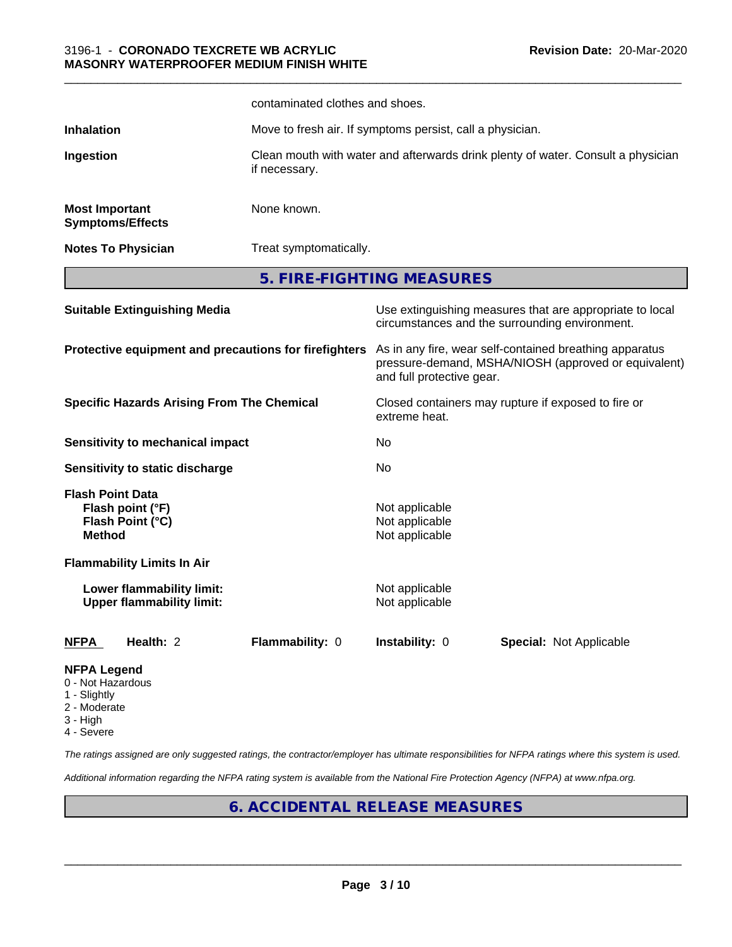|                                                                         |                                                               | contaminated clothes and shoes.                       |                                                                                                                                              |                                                                                                            |
|-------------------------------------------------------------------------|---------------------------------------------------------------|-------------------------------------------------------|----------------------------------------------------------------------------------------------------------------------------------------------|------------------------------------------------------------------------------------------------------------|
| <b>Inhalation</b>                                                       |                                                               |                                                       | Move to fresh air. If symptoms persist, call a physician.                                                                                    |                                                                                                            |
| Ingestion                                                               |                                                               | if necessary.                                         |                                                                                                                                              | Clean mouth with water and afterwards drink plenty of water. Consult a physician                           |
| <b>Most Important</b>                                                   | <b>Symptoms/Effects</b>                                       | None known.                                           |                                                                                                                                              |                                                                                                            |
|                                                                         | <b>Notes To Physician</b>                                     | Treat symptomatically.                                |                                                                                                                                              |                                                                                                            |
|                                                                         |                                                               |                                                       | 5. FIRE-FIGHTING MEASURES                                                                                                                    |                                                                                                            |
|                                                                         | <b>Suitable Extinguishing Media</b>                           |                                                       |                                                                                                                                              | Use extinguishing measures that are appropriate to local<br>circumstances and the surrounding environment. |
|                                                                         |                                                               | Protective equipment and precautions for firefighters | As in any fire, wear self-contained breathing apparatus<br>pressure-demand, MSHA/NIOSH (approved or equivalent)<br>and full protective gear. |                                                                                                            |
| <b>Specific Hazards Arising From The Chemical</b>                       |                                                               | extreme heat.                                         | Closed containers may rupture if exposed to fire or                                                                                          |                                                                                                            |
|                                                                         | <b>Sensitivity to mechanical impact</b>                       |                                                       | No                                                                                                                                           |                                                                                                            |
|                                                                         | Sensitivity to static discharge                               |                                                       | No                                                                                                                                           |                                                                                                            |
| <b>Flash Point Data</b><br><b>Method</b>                                | Flash point (°F)<br>Flash Point (°C)                          |                                                       | Not applicable<br>Not applicable<br>Not applicable                                                                                           |                                                                                                            |
|                                                                         | <b>Flammability Limits In Air</b>                             |                                                       |                                                                                                                                              |                                                                                                            |
|                                                                         | Lower flammability limit:<br><b>Upper flammability limit:</b> |                                                       | Not applicable<br>Not applicable                                                                                                             |                                                                                                            |
| <b>NFPA</b>                                                             | Health: 2                                                     | Flammability: 0                                       | Instability: 0                                                                                                                               | <b>Special: Not Applicable</b>                                                                             |
| <b>NFPA Legend</b><br>0 - Not Hazardous<br>1 - Slightly<br>2 - Moderate |                                                               |                                                       |                                                                                                                                              |                                                                                                            |

- 3 High
- 4 Severe

*The ratings assigned are only suggested ratings, the contractor/employer has ultimate responsibilities for NFPA ratings where this system is used.*

*Additional information regarding the NFPA rating system is available from the National Fire Protection Agency (NFPA) at www.nfpa.org.*

## **6. ACCIDENTAL RELEASE MEASURES**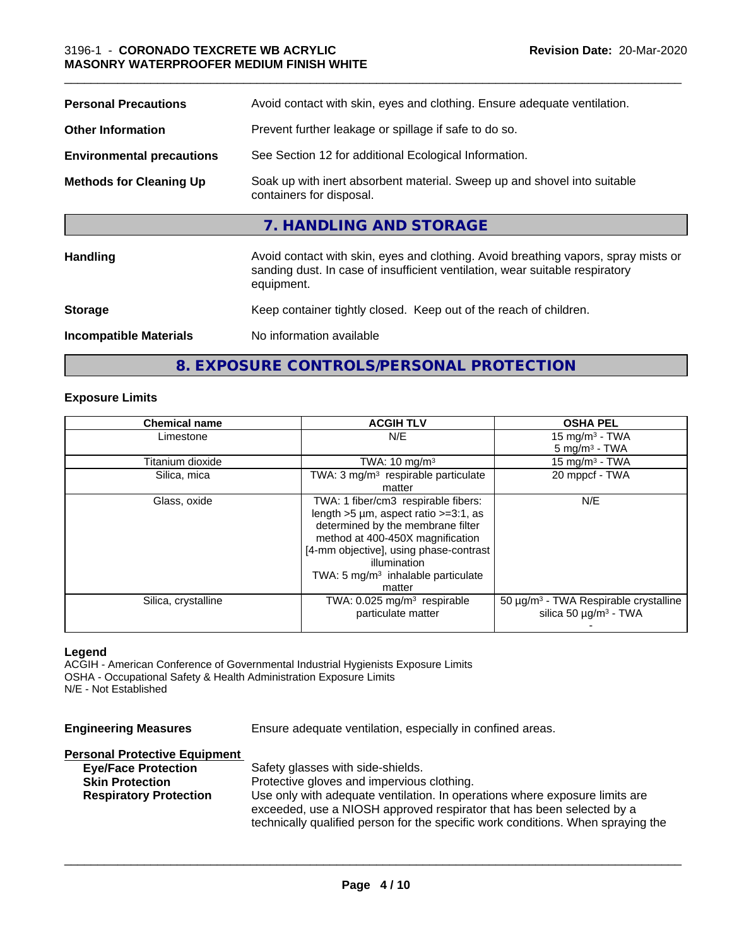| <b>Personal Precautions</b>      | Avoid contact with skin, eyes and clothing. Ensure adequate ventilation.                                                                                                         |
|----------------------------------|----------------------------------------------------------------------------------------------------------------------------------------------------------------------------------|
| <b>Other Information</b>         | Prevent further leakage or spillage if safe to do so.                                                                                                                            |
| <b>Environmental precautions</b> | See Section 12 for additional Ecological Information.                                                                                                                            |
| <b>Methods for Cleaning Up</b>   | Soak up with inert absorbent material. Sweep up and shovel into suitable<br>containers for disposal.                                                                             |
|                                  | 7. HANDLING AND STORAGE                                                                                                                                                          |
| <b>Handling</b>                  | Avoid contact with skin, eyes and clothing. Avoid breathing vapors, spray mists or<br>sanding dust. In case of insufficient ventilation, wear suitable respiratory<br>equipment. |
| <b>Storage</b>                   | Keep container tightly closed. Keep out of the reach of children.                                                                                                                |
| <b>Incompatible Materials</b>    | No information available                                                                                                                                                         |

## **8. EXPOSURE CONTROLS/PERSONAL PROTECTION**

## **Exposure Limits**

| <b>Chemical name</b> | <b>ACGIH TLV</b>                                | <b>OSHA PEL</b>                                   |
|----------------------|-------------------------------------------------|---------------------------------------------------|
| Limestone            | N/E                                             | 15 mg/m <sup>3</sup> - TWA                        |
|                      |                                                 | $5 \text{ mg/m}^3$ - TWA                          |
| Titanium dioxide     | TWA: $10 \text{ mg/m}^3$                        | 15 mg/m $3$ - TWA                                 |
| Silica, mica         | TWA: 3 mg/m <sup>3</sup> respirable particulate | 20 mppcf - TWA                                    |
|                      | matter                                          |                                                   |
| Glass, oxide         | TWA: 1 fiber/cm3 respirable fibers:             | N/E                                               |
|                      | length $>5 \mu m$ , aspect ratio $>=3:1$ , as   |                                                   |
|                      | determined by the membrane filter               |                                                   |
|                      | method at 400-450X magnification                |                                                   |
|                      | [4-mm objective], using phase-contrast          |                                                   |
|                      | illumination                                    |                                                   |
|                      | TWA: $5 \text{ mg/m}^3$ inhalable particulate   |                                                   |
|                      | matter                                          |                                                   |
| Silica, crystalline  | TWA: $0.025$ mg/m <sup>3</sup> respirable       | 50 µg/m <sup>3</sup> - TWA Respirable crystalline |
|                      | particulate matter                              | silica 50 $\mu$ g/m <sup>3</sup> - TWA            |
|                      |                                                 |                                                   |

## **Legend**

ACGIH - American Conference of Governmental Industrial Hygienists Exposure Limits OSHA - Occupational Safety & Health Administration Exposure Limits N/E - Not Established

| <b>Engineering Measures</b>          | Ensure adequate ventilation, especially in confined areas.                                                                                                                                                                               |
|--------------------------------------|------------------------------------------------------------------------------------------------------------------------------------------------------------------------------------------------------------------------------------------|
| <b>Personal Protective Equipment</b> |                                                                                                                                                                                                                                          |
| <b>Eye/Face Protection</b>           | Safety glasses with side-shields.                                                                                                                                                                                                        |
| <b>Skin Protection</b>               | Protective gloves and impervious clothing.                                                                                                                                                                                               |
| <b>Respiratory Protection</b>        | Use only with adequate ventilation. In operations where exposure limits are<br>exceeded, use a NIOSH approved respirator that has been selected by a<br>technically qualified person for the specific work conditions. When spraying the |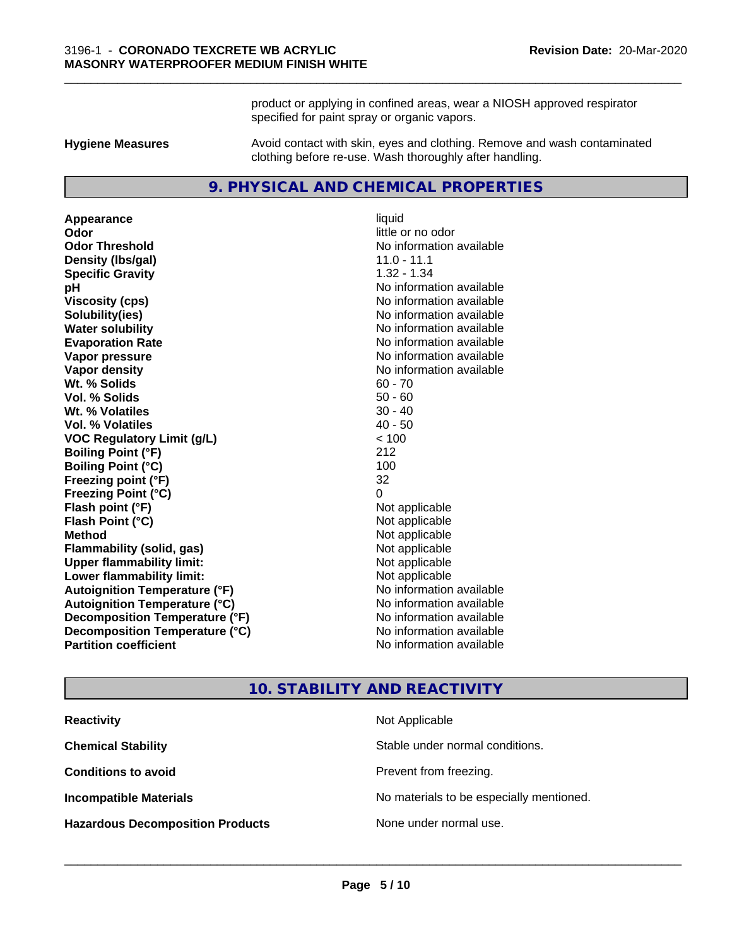product or applying in confined areas, wear a NIOSH approved respirator specified for paint spray or organic vapors.

**Hygiene Measures** Avoid contact with skin, eyes and clothing. Remove and wash contaminated clothing before re-use. Wash thoroughly after handling.

## **9. PHYSICAL AND CHEMICAL PROPERTIES**

**Appearance** liquid **Odor** little or no odor **Odor Threshold** No information available **Density (lbs/gal)** 11.0 - 11.1 **Specific Gravity** 1.32 - 1.34 **pH** No information available **Viscosity (cps)** No information available **Solubility(ies)** No information available **Water solubility** No information available **Evaporation Rate Evaporation Rate No information available Vapor pressure** No information available **No information** available **Vapor density No information available No information available Wt. % Solids** 60 - 70 **Vol. % Solids** 50 - 60 **W<sub>t.</sub>** % Volatiles 30 - 40 **Vol. % Volatiles** 40 - 50 **VOC Regulatory Limit (g/L)** < 100 **Boiling Point (°F)** 212 **Boiling Point**  $(^{\circ}C)$  100 **Freezing point (°F)** 32 **Freezing Point (°C)** 0 **Flash point (°F)** Not applicable **Flash Point (°C)** Not applicable **Method** Not applicable **Flammability (solid, gas)** Not applicable **Upper flammability limit:** Not applicable **Lower flammability limit:** Not applicable **Autoignition Temperature (°F)** No information available **Autoignition Temperature (°C)** No information available **Decomposition Temperature (°F)** No information available **Decomposition Temperature (°C)**<br> **Partition coefficient**<br> **Partition coefficient**<br> **No** information available

**No information available** 

## **10. STABILITY AND REACTIVITY**

| <b>Reactivity</b>                       | Not Applicable                           |
|-----------------------------------------|------------------------------------------|
| <b>Chemical Stability</b>               | Stable under normal conditions.          |
| <b>Conditions to avoid</b>              | Prevent from freezing.                   |
| <b>Incompatible Materials</b>           | No materials to be especially mentioned. |
| <b>Hazardous Decomposition Products</b> | None under normal use.                   |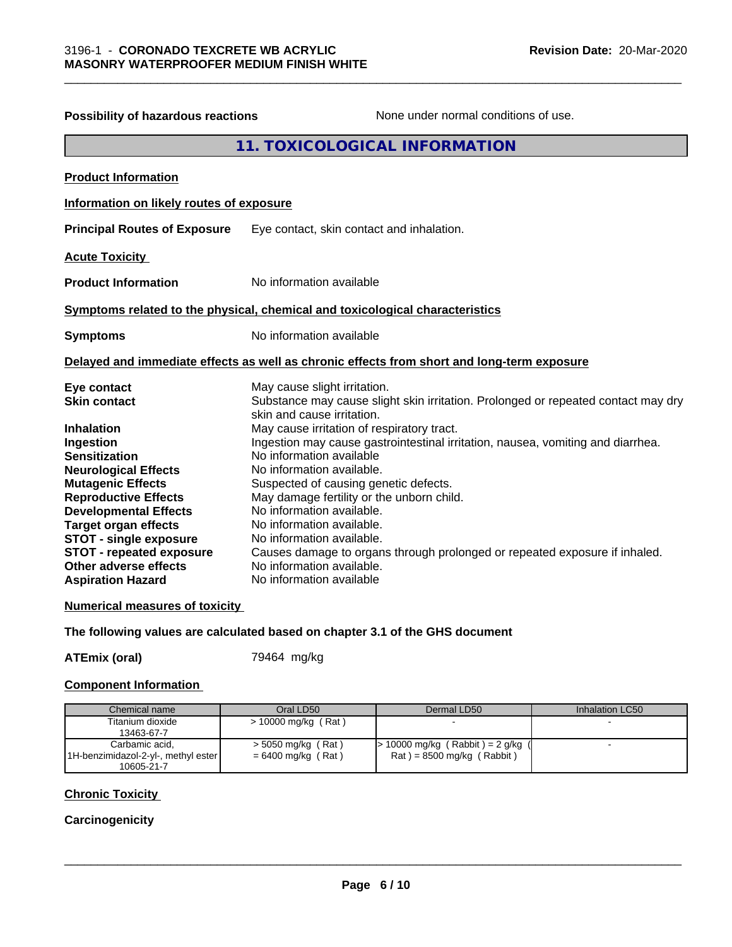| <b>Possibility of hazardous reactions</b>                                            | None under normal conditions of use.                                                                                                            |
|--------------------------------------------------------------------------------------|-------------------------------------------------------------------------------------------------------------------------------------------------|
|                                                                                      | 11. TOXICOLOGICAL INFORMATION                                                                                                                   |
| <b>Product Information</b>                                                           |                                                                                                                                                 |
| Information on likely routes of exposure                                             |                                                                                                                                                 |
| <b>Principal Routes of Exposure</b>                                                  | Eye contact, skin contact and inhalation.                                                                                                       |
| <b>Acute Toxicity</b>                                                                |                                                                                                                                                 |
| <b>Product Information</b>                                                           | No information available                                                                                                                        |
|                                                                                      | Symptoms related to the physical, chemical and toxicological characteristics                                                                    |
| <b>Symptoms</b>                                                                      | No information available                                                                                                                        |
|                                                                                      | Delayed and immediate effects as well as chronic effects from short and long-term exposure                                                      |
| Eye contact<br><b>Skin contact</b>                                                   | May cause slight irritation.<br>Substance may cause slight skin irritation. Prolonged or repeated contact may dry<br>skin and cause irritation. |
| <b>Inhalation</b><br>Ingestion                                                       | May cause irritation of respiratory tract.<br>Ingestion may cause gastrointestinal irritation, nausea, vomiting and diarrhea.                   |
| <b>Sensitization</b><br><b>Neurological Effects</b><br><b>Mutagenic Effects</b>      | No information available<br>No information available.<br>Suspected of causing genetic defects.                                                  |
| <b>Reproductive Effects</b><br><b>Developmental Effects</b>                          | May damage fertility or the unborn child.<br>No information available.                                                                          |
| <b>Target organ effects</b><br><b>STOT - single exposure</b>                         | No information available.<br>No information available.                                                                                          |
| <b>STOT - repeated exposure</b><br>Other adverse effects<br><b>Aspiration Hazard</b> | Causes damage to organs through prolonged or repeated exposure if inhaled.<br>No information available.<br>No information available             |
| <b>Numerical measures of toxicity</b>                                                |                                                                                                                                                 |

## **The following values are calculated based on chapter 3.1 of the GHS document**

## ATEmix (oral) 79464 mg/kg

## **Component Information**

| Chemical name                       | Oral LD50             | Dermal LD50                     | Inhalation LC50 |
|-------------------------------------|-----------------------|---------------------------------|-----------------|
| Titanium dioxide                    | $> 10000$ mg/kg (Rat) |                                 |                 |
| 13463-67-7                          |                       |                                 |                 |
| Carbamic acid.                      | $>$ 5050 mg/kg (Rat)  | 10000 mg/kg (Rabbit) = 2 g/kg ( |                 |
| 1H-benzimidazol-2-yl-, methyl ester | $= 6400$ mg/kg (Rat)  | $Rat$ = 8500 mg/kg (Rabbit)     |                 |
| 10605-21-7                          |                       |                                 |                 |

## **Chronic Toxicity**

## **Carcinogenicity**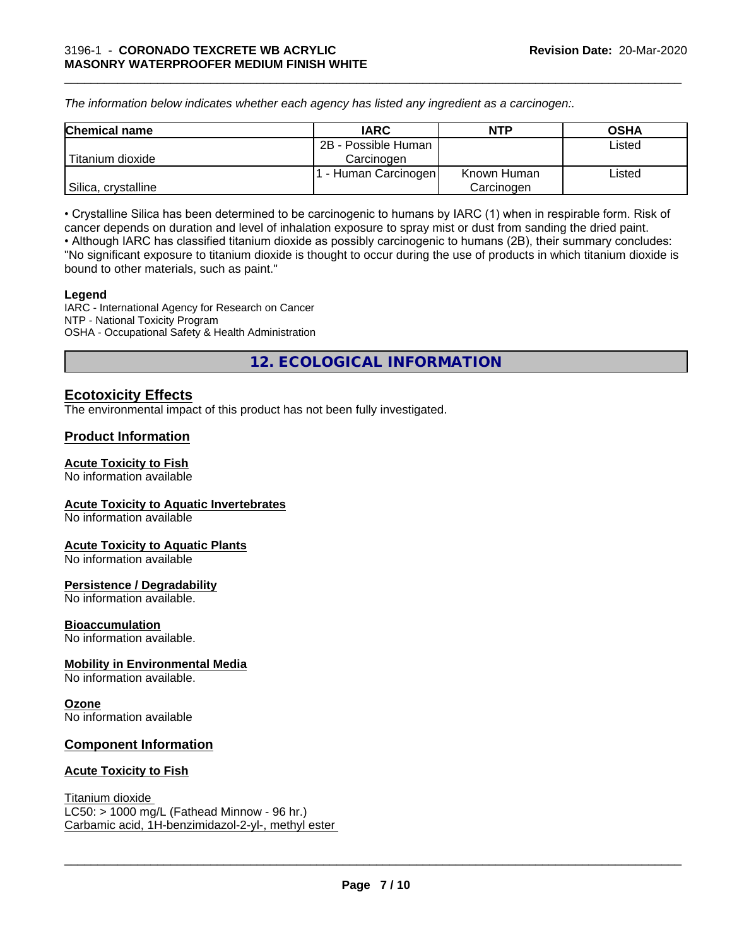*The information below indicateswhether each agency has listed any ingredient as a carcinogen:.*

| <b>Chemical name</b> | <b>IARC</b>          | <b>NTP</b>  | <b>OSHA</b> |
|----------------------|----------------------|-------------|-------------|
|                      | 2B - Possible Human  |             | Listed      |
| Titanium dioxide     | Carcinoɑen           |             |             |
|                      | r - Human Carcinogen | Known Human | Listed      |
| Silica, crystalline  |                      | Carcinogen  |             |

\_\_\_\_\_\_\_\_\_\_\_\_\_\_\_\_\_\_\_\_\_\_\_\_\_\_\_\_\_\_\_\_\_\_\_\_\_\_\_\_\_\_\_\_\_\_\_\_\_\_\_\_\_\_\_\_\_\_\_\_\_\_\_\_\_\_\_\_\_\_\_\_\_\_\_\_\_\_\_\_\_\_\_\_\_\_\_\_\_\_\_\_\_

• Crystalline Silica has been determined to be carcinogenic to humans by IARC (1) when in respirable form. Risk of cancer depends on duration and level of inhalation exposure to spray mist or dust from sanding the dried paint.• Although IARC has classified titanium dioxide as possibly carcinogenic to humans (2B), their summary concludes: "No significant exposure to titanium dioxide is thought to occur during the use of products in which titanium dioxide is bound to other materials, such as paint."

#### **Legend**

IARC - International Agency for Research on Cancer NTP - National Toxicity Program OSHA - Occupational Safety & Health Administration

**12. ECOLOGICAL INFORMATION**

## **Ecotoxicity Effects**

The environmental impact of this product has not been fully investigated.

## **Product Information**

## **Acute Toxicity to Fish**

No information available

## **Acute Toxicity to Aquatic Invertebrates**

No information available

## **Acute Toxicity to Aquatic Plants**

No information available

## **Persistence / Degradability**

No information available.

## **Bioaccumulation**

No information available.

## **Mobility in Environmental Media**

No information available.

## **Ozone**

No information available

## **Component Information**

## **Acute Toxicity to Fish**

## Titanium dioxide

 $LC50:$  > 1000 mg/L (Fathead Minnow - 96 hr.) Carbamic acid, 1H-benzimidazol-2-yl-, methyl ester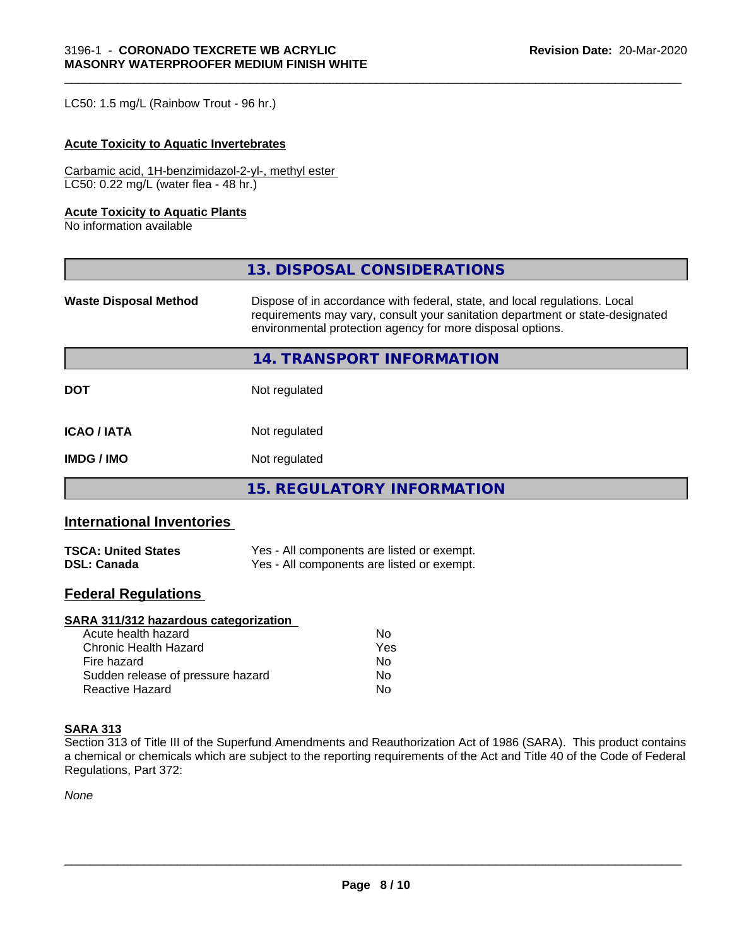LC50: 1.5 mg/L (Rainbow Trout - 96 hr.)

## **Acute Toxicity to Aquatic Invertebrates**

Carbamic acid, 1H-benzimidazol-2-yl-, methyl ester LC50: 0.22 mg/L (water flea - 48 hr.)

#### **Acute Toxicity to Aquatic Plants**

No information available

|                              | 13. DISPOSAL CONSIDERATIONS                                                                                                                                                                                               |
|------------------------------|---------------------------------------------------------------------------------------------------------------------------------------------------------------------------------------------------------------------------|
| <b>Waste Disposal Method</b> | Dispose of in accordance with federal, state, and local regulations. Local<br>requirements may vary, consult your sanitation department or state-designated<br>environmental protection agency for more disposal options. |
|                              | 14. TRANSPORT INFORMATION                                                                                                                                                                                                 |
| <b>DOT</b>                   | Not regulated                                                                                                                                                                                                             |
| <b>ICAO/IATA</b>             | Not regulated                                                                                                                                                                                                             |
| <b>IMDG/IMO</b>              | Not regulated                                                                                                                                                                                                             |
|                              | <b>15. REGULATORY INFORMATION</b>                                                                                                                                                                                         |

## **International Inventories**

| <b>TSCA: United States</b> | Yes - All components are listed or exempt. |
|----------------------------|--------------------------------------------|
| <b>DSL: Canada</b>         | Yes - All components are listed or exempt. |

## **Federal Regulations**

## **SARA 311/312 hazardous categorization**

| Acute health hazard               | Nο  |
|-----------------------------------|-----|
| Chronic Health Hazard             | Yes |
| Fire hazard                       | N٥  |
| Sudden release of pressure hazard | Nο  |
| Reactive Hazard                   | N٥  |

## **SARA 313**

Section 313 of Title III of the Superfund Amendments and Reauthorization Act of 1986 (SARA). This product contains a chemical or chemicals which are subject to the reporting requirements of the Act and Title 40 of the Code of Federal Regulations, Part 372:

*None*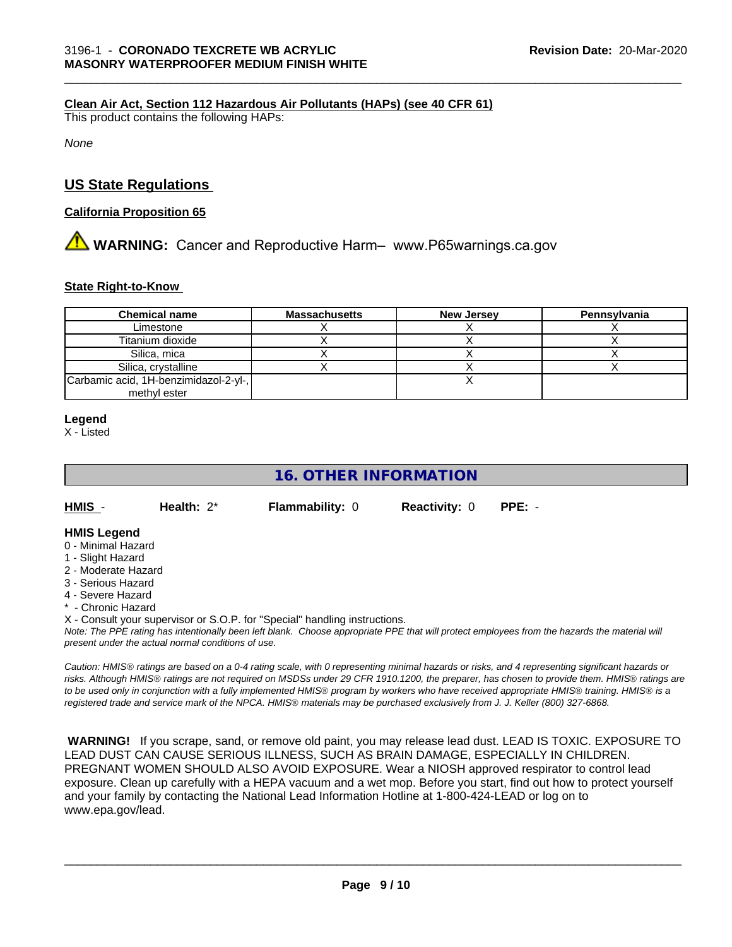## **Clean Air Act,Section 112 Hazardous Air Pollutants (HAPs) (see 40 CFR 61)**

This product contains the following HAPs:

*None*

## **US State Regulations**

#### **California Proposition 65**

## **XX WARNING:** Cancer and Reproductive Harm– www.P65warnings.ca.gov

#### **State Right-to-Know**

| <b>Chemical name</b>                  | <b>Massachusetts</b> | <b>New Jersey</b> | Pennsylvania |
|---------------------------------------|----------------------|-------------------|--------------|
| Limestone                             |                      |                   |              |
| Titanium dioxide                      |                      |                   |              |
| Silica, mica                          |                      |                   |              |
| Silica, crystalline                   |                      |                   |              |
| Carbamic acid, 1H-benzimidazol-2-yl-, |                      |                   |              |
| methyl ester                          |                      |                   |              |

#### **Legend**

X - Listed

## **16. OTHER INFORMATION**

**HMIS** - **Health:** 2\* **Flammability:** 0 **Reactivity:** 0 **PPE:** -

#### **HMIS Legend**

- 0 Minimal Hazard
- 1 Slight Hazard
- 2 Moderate Hazard
- 3 Serious Hazard
- 4 Severe Hazard
- \* Chronic Hazard
- X Consult your supervisor or S.O.P. for "Special" handling instructions.

*Note: The PPE rating has intentionally been left blank. Choose appropriate PPE that will protect employees from the hazards the material will present under the actual normal conditions of use.*

*Caution: HMISÒ ratings are based on a 0-4 rating scale, with 0 representing minimal hazards or risks, and 4 representing significant hazards or risks. Although HMISÒ ratings are not required on MSDSs under 29 CFR 1910.1200, the preparer, has chosen to provide them. HMISÒ ratings are to be used only in conjunction with a fully implemented HMISÒ program by workers who have received appropriate HMISÒ training. HMISÒ is a registered trade and service mark of the NPCA. HMISÒ materials may be purchased exclusively from J. J. Keller (800) 327-6868.*

 **WARNING!** If you scrape, sand, or remove old paint, you may release lead dust. LEAD IS TOXIC. EXPOSURE TO LEAD DUST CAN CAUSE SERIOUS ILLNESS, SUCH AS BRAIN DAMAGE, ESPECIALLY IN CHILDREN. PREGNANT WOMEN SHOULD ALSO AVOID EXPOSURE. Wear a NIOSH approved respirator to control lead exposure. Clean up carefully with a HEPA vacuum and a wet mop. Before you start, find out how to protect yourself and your family by contacting the National Lead Information Hotline at 1-800-424-LEAD or log on to www.epa.gov/lead.